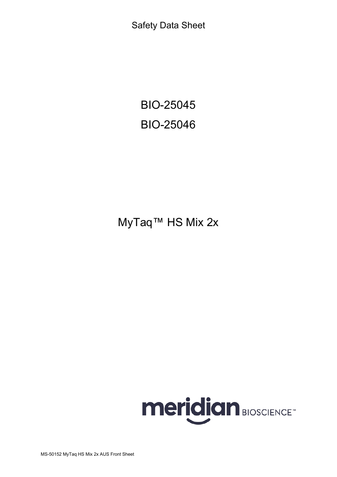Safety Data Sheet

BIO-25045 BIO-25046

# MyTaq™ HS Mix 2x

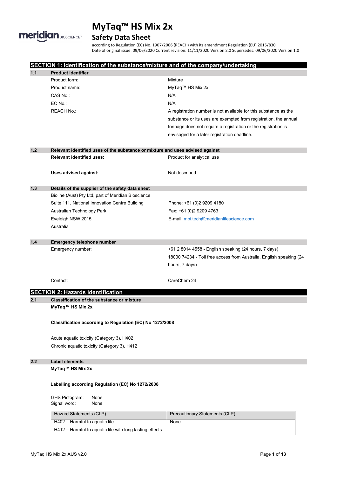

### **Safety Data Sheet**

according to Regulation (EC) No. 1907/2006 (REACH) with its amendment Regulation (EU) 2015/830 Date of original issue: 09/06/2020 Current revision: 11/11/2020 Version 2.0 Supersedes: 09/06/2020 Version 1.0

|     | SECTION 1: Identification of the substance/mixture and of the company/undertaking |                                                                                                                                                |
|-----|-----------------------------------------------------------------------------------|------------------------------------------------------------------------------------------------------------------------------------------------|
| 1.1 | <b>Product identifier</b><br>Product form:                                        |                                                                                                                                                |
|     |                                                                                   | Mixture                                                                                                                                        |
|     | Product name:                                                                     | MyTaq™ HS Mix 2x                                                                                                                               |
|     | CAS No.:                                                                          | N/A                                                                                                                                            |
|     | EC No.:                                                                           | N/A                                                                                                                                            |
|     | <b>REACH No.:</b>                                                                 | A registration number is not available for this substance as the                                                                               |
|     |                                                                                   | substance or its uses are exempted from registration, the annual                                                                               |
|     |                                                                                   | tonnage does not require a registration or the registration is                                                                                 |
|     |                                                                                   | envisaged for a later registration deadline.                                                                                                   |
| 1.2 | Relevant identified uses of the substance or mixture and uses advised against     |                                                                                                                                                |
|     | <b>Relevant identified uses:</b>                                                  | Product for analytical use                                                                                                                     |
|     | Uses advised against:                                                             | Not described                                                                                                                                  |
| 1.3 | Details of the supplier of the safety data sheet                                  |                                                                                                                                                |
|     | Bioline (Aust) Pty Ltd, part of Meridian Bioscience                               |                                                                                                                                                |
|     | Suite 111, National Innovation Centre Building                                    | Phone: +61 (0)2 9209 4180                                                                                                                      |
|     | Australian Technology Park                                                        | Fax: +61 (0)2 9209 4763                                                                                                                        |
|     | Eveleigh NSW 2015                                                                 | E-mail: mbi.tech@meridianlifescience.com                                                                                                       |
|     | Australia                                                                         |                                                                                                                                                |
| 1.4 | Emergency telephone number                                                        |                                                                                                                                                |
|     | Emergency number:                                                                 | +61 2 8014 4558 - English speaking (24 hours, 7 days)<br>18000 74234 - Toll free access from Australia, English speaking (24<br>hours, 7 days) |
|     | Contact:                                                                          | CareChem 24                                                                                                                                    |
|     | <b>SECTION 2: Hazards identification</b>                                          |                                                                                                                                                |
| 2.1 | <b>Classification of the substance or mixture</b><br>MyTaq™ HS Mix 2x             |                                                                                                                                                |
|     | Classification according to Regulation (EC) No 1272/2008                          |                                                                                                                                                |
|     | Acute aquatic toxicity (Category 3), H402                                         |                                                                                                                                                |
|     | Chronic aquatic toxicity (Category 3), H412                                       |                                                                                                                                                |
| 2.2 | <b>Label elements</b><br>MyTaq™ HS Mix 2x                                         |                                                                                                                                                |
|     | Labelling according Regulation (EC) No 1272/2008                                  |                                                                                                                                                |
|     | GHS Pictogram:<br>None<br>Signal word:<br>None                                    |                                                                                                                                                |
|     | Hazard Statements (CLP)                                                           | Precautionary Statements (CLP)                                                                                                                 |
|     | H402 - Harmful to aquatic life                                                    | None                                                                                                                                           |
|     | H412 - Harmful to aquatic life with long lasting effects                          |                                                                                                                                                |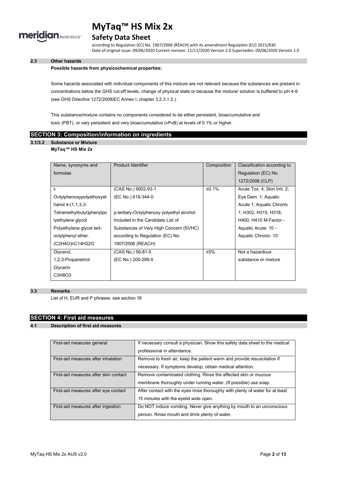

#### **Safety Data Sheet**

according to Regulation (EC) No. 1907/2006 (REACH) with its amendment Regulation (EU) 2015/830 Date of original issue: 09/06/2020 Current revision: 11/11/2020 Version 2.0 Supersedes: 09/06/2020 Version 1.0

#### **2.3 Other hazards**

#### **Possible hazards from physicochemical properties:**

Some hazards associated with individual components of this mixture are not relevant because the substances are present in concentrations below the GHS cut-off levels, change of physical state or because the mixture/ solution is buffered to pH 4-9 (see GHS Directive 1272/2008/EC Annex I, chapter 3.2.3.1.2.).

This substance/mixture contains no components considered to be either persistent, bioaccumulative and toxic (PBT), or very persistent and very bioaccumulative (vPvB) at levels of 0.1% or higher.

#### **SECTION 3: Composition/information on ingredients**

#### **3.1/3.2 Substance or Mixture**

#### **MyTaq™ HS Mix 2x**

| Name, synonyms and        | Product Identifier                        | Composition | Classification according to  |
|---------------------------|-------------------------------------------|-------------|------------------------------|
| formulae                  |                                           |             | Regulation (EC) No.          |
|                           |                                           |             | 1272/2008 (CLP)              |
| $†$                       | (CAS No.) 9002-93-1                       | ≤0.1%       | Acute Tox. 4; Skin Irrit. 2; |
| Octylphenoxypolyethoxyet  | (EC No.) 618-344-0                        |             | Eye Dam. 1; Aquatic          |
| hanol $4-(1,1,3,3-$       |                                           |             | Acute 1; Aquatic Chronic     |
| Tetramethylbutyl)phenylpo | p-tertiary-Octylphenoxy polyethyl alcohol |             | 1; H302, H315, H318,         |
| lyethylene glycol         | Included in the Candidate List of         |             | H400, H410 M-Factor -        |
| Polyethylene glycol tert- | Substances of Very High Concern (SVHC)    |             | Aquatic Acute: 10 -          |
| octylphenyl ether.        | according to Regulation (EC) No.          |             | Aquatic Chronic: 10          |
| (C2H4O)nC14H22O           | 1907/2006 (REACH)                         |             |                              |
| Glycerol,                 | (CAS No.) 56-81-5                         | ≤5%         | Not a hazardous              |
| 1,2,3-Propanetriol        | (EC No.) 200-289-5                        |             | substance or mixture         |
| Glycerin                  |                                           |             |                              |
| C3H8O3                    |                                           |             |                              |

#### **3.3 Remarks**

List of H, EUR and P phrases: see section 16

#### **SECTION 4: First aid measures**

#### **4.1 Description of first aid measures**

| First-aid measures general            | If necessary consult a physician. Show this safety data sheet to the medical<br>professional in attendance.                          |
|---------------------------------------|--------------------------------------------------------------------------------------------------------------------------------------|
| First-aid measures after inhalation   | Remove to fresh air, keep the patient warm and provide resuscitation if<br>necessary. If symptoms develop, obtain medical attention. |
| First-aid measures after skin contact | Remove contaminated clothing. Rinse the affected skin or mucous<br>membrane thoroughly under running water. (If possible) use soap.  |
| First-aid measures after eye contact  | After contact with the eyes rinse thoroughly with plenty of water for at least<br>15 minutes with the eyelid wide open.              |
| First-aid measures after ingestion    | Do NOT induce vomiting. Never give anything by mouth to an unconscious<br>person. Rinse mouth and drink plenty of water.             |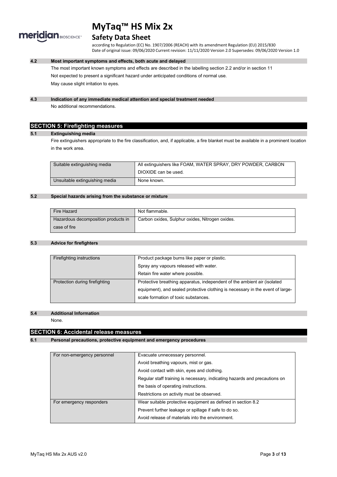

#### **Safety Data Sheet**

according to Regulation (EC) No. 1907/2006 (REACH) with its amendment Regulation (EU) 2015/830 Date of original issue: 09/06/2020 Current revision: 11/11/2020 Version 2.0 Supersedes: 09/06/2020 Version 1.0

#### **4.2 Most important symptoms and effects, both acute and delayed**

The most important known symptoms and effects are described in the labelling section 2.2 and/or in section 11 Not expected to present a significant hazard under anticipated conditions of normal use. May cause slight irritation to eyes.

#### **4.3 Indication of any immediate medical attention and special treatment needed**

No additional recommendations.

#### **SECTION 5: Firefighting measures**

#### **5.1 Extinguishing media**

Fire extinguishers appropriate to the fire classification, and, if applicable, a fire blanket must be available in a prominent location in the work area.

| Suitable extinguishing media   | All extinguishers like FOAM, WATER SPRAY, DRY POWDER, CARBON |
|--------------------------------|--------------------------------------------------------------|
|                                | DIOXIDE can be used.                                         |
| Unsuitable extinguishing media | None known.                                                  |

#### **5.2 Special hazards arising from the substance or mixture**

| Fire Hazard                         | Not flammable.                                  |
|-------------------------------------|-------------------------------------------------|
| Hazardous decomposition products in | Carbon oxides, Sulphur oxides, Nitrogen oxides. |
| case of fire                        |                                                 |

#### **5.3 Advice for firefighters**

| Firefighting instructions      | Product package burns like paper or plastic.                                   |
|--------------------------------|--------------------------------------------------------------------------------|
|                                | Spray any vapours released with water.                                         |
|                                | Retain fire water where possible.                                              |
| Protection during firefighting | Protective breathing apparatus, independent of the ambient air (isolated       |
|                                | equipment), and sealed protective clothing is necessary in the event of large- |
|                                | scale formation of toxic substances.                                           |

#### **5.4 Additional Information**

None.

#### **SECTION 6: Accidental release measures**

#### **6.1 Personal precautions, protective equipment and emergency procedures**

| For non-emergency personnel | Evacuate unnecessary personnel.                                            |  |
|-----------------------------|----------------------------------------------------------------------------|--|
|                             | Avoid breathing vapours, mist or gas.                                      |  |
|                             | Avoid contact with skin, eyes and clothing.                                |  |
|                             | Regular staff training is necessary, indicating hazards and precautions on |  |
|                             | the basis of operating instructions.                                       |  |
|                             | Restrictions on activity must be observed.                                 |  |
| For emergency responders    | Wear suitable protective equipment as defined in section 8.2               |  |
|                             | Prevent further leakage or spillage if safe to do so.                      |  |
|                             | Avoid release of materials into the environment.                           |  |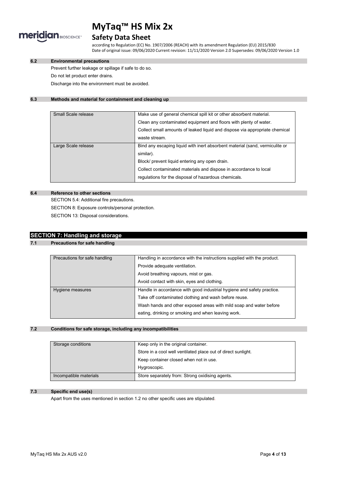

#### **Safety Data Sheet**

according to Regulation (EC) No. 1907/2006 (REACH) with its amendment Regulation (EU) 2015/830 Date of original issue: 09/06/2020 Current revision: 11/11/2020 Version 2.0 Supersedes: 09/06/2020 Version 1.0

#### **6.2 Environmental precautions**

Prevent further leakage or spillage if safe to do so.

Do not let product enter drains.

Discharge into the environment must be avoided.

#### **6.3 Methods and material for containment and cleaning up**

| Small Scale release | Make use of general chemical spill kit or other absorbent material.          |  |
|---------------------|------------------------------------------------------------------------------|--|
|                     | Clean any contaminated equipment and floors with plenty of water.            |  |
|                     | Collect small amounts of leaked liquid and dispose via appropriate chemical  |  |
|                     | waste stream.                                                                |  |
| Large Scale release | Bind any escaping liquid with inert absorbent material (sand, vermiculite or |  |
|                     | similar).                                                                    |  |
|                     | Block/ prevent liquid entering any open drain.                               |  |
|                     | Collect contaminated materials and dispose in accordance to local            |  |
|                     | regulations for the disposal of hazardous chemicals.                         |  |

#### **6.4 Reference to other sections**

SECTION 5.4: Additional fire precautions. SECTION 8: Exposure controls/personal protection. SECTION 13: Disposal considerations.

### **SECTION 7: Handling and storage**

**7.1 Precautions for safe handling**

| Precautions for safe handling | Handling in accordance with the instructions supplied with the product. |
|-------------------------------|-------------------------------------------------------------------------|
|                               | Provide adequate ventilation.                                           |
|                               | Avoid breathing vapours, mist or gas.                                   |
|                               | Avoid contact with skin, eyes and clothing.                             |
| Hygiene measures              | Handle in accordance with good industrial hygiene and safety practice.  |
|                               | Take off contaminated clothing and wash before reuse.                   |
|                               | Wash hands and other exposed areas with mild soap and water before      |
|                               | eating, drinking or smoking and when leaving work.                      |

#### **7.2 Conditions for safe storage, including any incompatibilities**

| Storage conditions     | Keep only in the original container.                          |  |
|------------------------|---------------------------------------------------------------|--|
|                        | Store in a cool well ventilated place out of direct sunlight. |  |
|                        | Keep container closed when not in use.                        |  |
|                        | Hygroscopic.                                                  |  |
| Incompatible materials | Store separately from: Strong oxidising agents.               |  |

#### **7.3 Specific end use(s)**

Apart from the uses mentioned in section 1.2 no other specific uses are stipulated.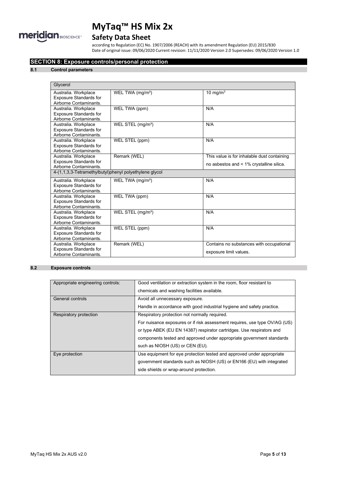

### **Safety Data Sheet**

according to Regulation (EC) No. 1907/2006 (REACH) with its amendment Regulation (EU) 2015/830 Date of original issue: 09/06/2020 Current revision: 11/11/2020 Version 2.0 Supersedes: 09/06/2020 Version 1.0

#### **SECTION 8: Exposure controls/personal protection**

#### **8.1 Control parameters**

| Glycerol                                               |                               |                                             |  |
|--------------------------------------------------------|-------------------------------|---------------------------------------------|--|
| Australia. Workplace                                   | WEL TWA $(mg/m3)$             | 10 mg/m $3$                                 |  |
| <b>Exposure Standards for</b>                          |                               |                                             |  |
| Airborne Contaminants.                                 |                               |                                             |  |
| Australia. Workplace                                   | WEL TWA (ppm)                 | N/A                                         |  |
| <b>Exposure Standards for</b>                          |                               |                                             |  |
| Airborne Contaminants.                                 |                               |                                             |  |
| Australia. Workplace                                   | WEL STEL (mg/m <sup>3</sup> ) | N/A                                         |  |
| <b>Exposure Standards for</b>                          |                               |                                             |  |
| Airborne Contaminants                                  |                               |                                             |  |
| Australia. Workplace                                   | WEL STEL (ppm)                | N/A                                         |  |
| <b>Exposure Standards for</b>                          |                               |                                             |  |
| Airborne Contaminants.                                 |                               |                                             |  |
| Australia. Workplace                                   | Remark (WEL)                  | This value is for inhalable dust containing |  |
| <b>Exposure Standards for</b>                          |                               | no asbestos and < 1% crystalline silica.    |  |
| Airborne Contaminants.                                 |                               |                                             |  |
| 4-(1,1,3,3-Tetramethylbutyl)phenyl polyethylene glycol |                               |                                             |  |
| Australia. Workplace                                   | WEL TWA (mg/m <sup>3</sup> )  | N/A                                         |  |
| <b>Exposure Standards for</b>                          |                               |                                             |  |
| Airborne Contaminants.                                 |                               |                                             |  |
| Australia. Workplace                                   | WEL TWA (ppm)                 | N/A                                         |  |
| <b>Exposure Standards for</b>                          |                               |                                             |  |
| Airborne Contaminants.                                 |                               |                                             |  |
| Australia. Workplace                                   | WEL STEL (mg/m <sup>3</sup> ) | N/A                                         |  |
| <b>Exposure Standards for</b>                          |                               |                                             |  |
| Airborne Contaminants.                                 |                               |                                             |  |
| Australia. Workplace                                   | WEL STEL (ppm)                | N/A                                         |  |
| <b>Exposure Standards for</b>                          |                               |                                             |  |
| Airborne Contaminants.                                 |                               |                                             |  |
| Australia. Workplace                                   | Remark (WEL)                  | Contains no substances with occupational    |  |
| <b>Exposure Standards for</b>                          |                               | exposure limit values.                      |  |
| Airborne Contaminants.                                 |                               |                                             |  |

#### **8.2 Exposure controls**

| Appropriate engineering controls: | Good ventilation or extraction system in the room, floor resistant to<br>chemicals and washing facilities available.                                                                                                                                                                                             |
|-----------------------------------|------------------------------------------------------------------------------------------------------------------------------------------------------------------------------------------------------------------------------------------------------------------------------------------------------------------|
| General controls                  | Avoid all unnecessary exposure.<br>Handle in accordance with good industrial hygiene and safety practice.                                                                                                                                                                                                        |
| Respiratory protection            | Respiratory protection not normally required.<br>For nuisance exposures or if risk assessment requires, use type OV/AG (US)<br>or type ABEK (EU EN 14387) respirator cartridges. Use respirators and<br>components tested and approved under appropriate government standards<br>such as NIOSH (US) or CEN (EU). |
| Eye protection                    | Use equipment for eye protection tested and approved under appropriate<br>government standards such as NIOSH (US) or EN166 (EU) with integrated<br>side shields or wrap-around protection.                                                                                                                       |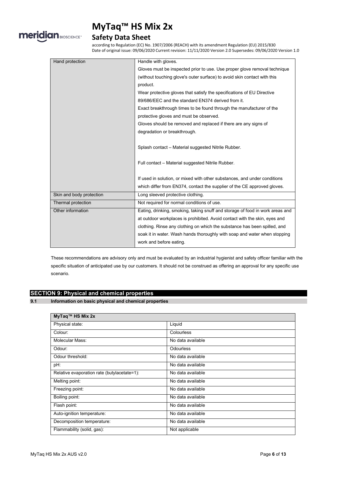

### **Safety Data Sheet**

according to Regulation (EC) No. 1907/2006 (REACH) with its amendment Regulation (EU) 2015/830 Date of original issue: 09/06/2020 Current revision: 11/11/2020 Version 2.0 Supersedes: 09/06/2020 Version 1.0

| Hand protection          | Handle with gloves.                                                           |
|--------------------------|-------------------------------------------------------------------------------|
|                          | Gloves must be inspected prior to use. Use proper glove removal technique     |
|                          | (without touching glove's outer surface) to avoid skin contact with this      |
|                          | product.                                                                      |
|                          | Wear protective gloves that satisfy the specifications of EU Directive        |
|                          | 89/686/EEC and the standard EN374 derived from it.                            |
|                          | Exact breakthrough times to be found through the manufacturer of the          |
|                          | protective gloves and must be observed.                                       |
|                          | Gloves should be removed and replaced if there are any signs of               |
|                          | degradation or breakthrough.                                                  |
|                          |                                                                               |
|                          | Splash contact - Material suggested Nitrile Rubber.                           |
|                          |                                                                               |
|                          | Full contact - Material suggested Nitrile Rubber.                             |
|                          |                                                                               |
|                          | If used in solution, or mixed with other substances, and under conditions     |
|                          | which differ from EN374, contact the supplier of the CE approved gloves.      |
| Skin and body protection | Long sleeved protective clothing.                                             |
| Thermal protection       | Not required for normal conditions of use.                                    |
| Other information        | Eating, drinking, smoking, taking snuff and storage of food in work areas and |
|                          | at outdoor workplaces is prohibited. Avoid contact with the skin, eyes and    |
|                          | clothing. Rinse any clothing on which the substance has been spilled, and     |
|                          | soak it in water. Wash hands thoroughly with soap and water when stopping     |
|                          | work and before eating.                                                       |

These recommendations are advisory only and must be evaluated by an industrial hygienist and safety officer familiar with the specific situation of anticipated use by our customers. It should not be construed as offering an approval for any specific use scenario.

#### **SECTION 9: Physical and chemical properties**

**9.1 Information on basic physical and chemical properties**

| MyTaq™ HS Mix 2x                            |                   |
|---------------------------------------------|-------------------|
| Physical state:                             | Liquid            |
| Colour:                                     | Colourless        |
| Molecular Mass:                             | No data available |
| Odour:                                      | <b>Odourless</b>  |
| Odour threshold:                            | No data available |
| pH:                                         | No data available |
| Relative evaporation rate (butylacetate=1): | No data available |
| Melting point:                              | No data available |
| Freezing point:                             | No data available |
| Boiling point:                              | No data available |
| Flash point:                                | No data available |
| Auto-ignition temperature:                  | No data available |
| Decomposition temperature:                  | No data available |
| Flammability (solid, gas):                  | Not applicable    |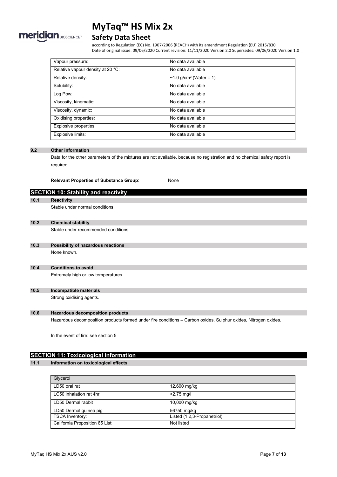

### **Safety Data Sheet**

according to Regulation (EC) No. 1907/2006 (REACH) with its amendment Regulation (EU) 2015/830 Date of original issue: 09/06/2020 Current revision: 11/11/2020 Version 2.0 Supersedes: 09/06/2020 Version 1.0

| Vapour pressure:                  | No data available                        |
|-----------------------------------|------------------------------------------|
| Relative vapour density at 20 °C: | No data available                        |
| Relative density:                 | $\sim$ 1.0 g/cm <sup>3</sup> (Water = 1) |
| Solubility:                       | No data available                        |
| Log Pow:                          | No data available                        |
| Viscosity, kinematic:             | No data available                        |
| Viscosity, dynamic:               | No data available                        |
| Oxidising properties:             | No data available                        |
| Explosive properties:             | No data available                        |
| Explosive limits:                 | No data available                        |

#### **9.2 Other information**

Data for the other parameters of the mixtures are not available, because no registration and no chemical safety report is required.

**Relevant Properties of Substance Group**: None

|      | <b>SECTION 10: Stability and reactivity</b> |
|------|---------------------------------------------|
| 10.1 | <b>Reactivity</b>                           |
|      | Stable under normal conditions.             |
| 10.2 | <b>Chemical stability</b>                   |
|      | Stable under recommended conditions.        |
| 10.3 | Possibility of hazardous reactions          |
|      | None known.                                 |
| 10.4 | <b>Conditions to avoid</b>                  |
|      | Extremely high or low temperatures.         |
| 10.5 | Incompatible materials                      |
|      | Strong oxidising agents.                    |
| 10.6 | <b>Hazardous decomposition products</b>     |

Hazardous decomposition products formed under fire conditions – Carbon oxides, Sulphur oxides, Nitrogen oxides.

In the event of fire: see section 5

#### **SECTION 11: Toxicological information**

#### **11.1 Information on toxicological effects**

| Glycerol                        |                             |
|---------------------------------|-----------------------------|
| LD50 oral rat                   | 12,600 mg/kg                |
| LC50 inhalation rat 4hr         | $>2.75$ mg/l                |
| LD50 Dermal rabbit              | 10,000 mg/kg                |
| LD50 Dermal guinea pig          | 56750 mg/kg                 |
| <b>TSCA Inventory:</b>          | Listed (1,2,3-Propanetriol) |
| California Proposition 65 List: | Not listed                  |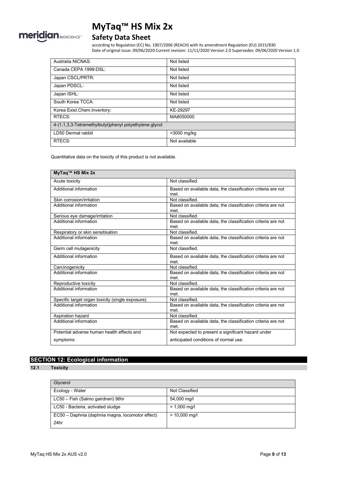

### **Safety Data Sheet**

according to Regulation (EC) No. 1907/2006 (REACH) with its amendment Regulation (EU) 2015/830 Date of original issue: 09/06/2020 Current revision: 11/11/2020 Version 2.0 Supersedes: 09/06/2020 Version 1.0

| Australia NICNAS:                                      | Not listed    |  |
|--------------------------------------------------------|---------------|--|
| Canada CEPA 1999 DSL:                                  | Not listed    |  |
| Japan CSCL/PRTR:                                       | Not listed    |  |
| Japan PDSCL:                                           | Not listed    |  |
| Japan ISHL:                                            | Not listed    |  |
| South Korea TCCA:                                      | Not listed    |  |
| Korea Exist.Chem.Inventory:                            | KE-29297      |  |
| RTECS:                                                 | MA8050000     |  |
| 4-(1,1,3,3-Tetramethylbutyl)phenyl polyethylene glycol |               |  |
| LD50 Dermal rabbit                                     | >3000 mg/kg   |  |
| RTECS:                                                 | Not available |  |

Quantitative data on the toxicity of this product is not available.

| MyTaq™ HS Mix 2x                                 |                                                                      |
|--------------------------------------------------|----------------------------------------------------------------------|
| Acute toxicity                                   | Not classified                                                       |
| Additional information                           | Based on available data, the classification criteria are not<br>met. |
| Skin corrosion/irritation                        | Not classified                                                       |
| Additional information                           | Based on available data, the classification criteria are not<br>met. |
| Serious eye damage/irritation                    | Not classified.                                                      |
| Additional information                           | Based on available data, the classification criteria are not<br>met. |
| Respiratory or skin sensitisation                | Not classified.                                                      |
| Additional information                           | Based on available data, the classification criteria are not<br>met. |
| Germ cell mutagenicity                           | Not classified                                                       |
| Additional information                           | Based on available data, the classification criteria are not<br>met. |
| Carcinogenicity                                  | Not classified.                                                      |
| <b>Additional information</b>                    | Based on available data, the classification criteria are not<br>met  |
| Reproductive toxicity                            | Not classified                                                       |
| Additional information                           | Based on available data, the classification criteria are not<br>met. |
| Specific target organ toxicity (single exposure) | Not classified.                                                      |
| Additional information                           | Based on available data, the classification criteria are not<br>met. |
| Aspiration hazard                                | Not classified.                                                      |
| Additional information                           | Based on available data, the classification criteria are not<br>met. |
| Potential adverse human health effects and       | Not expected to present a significant hazard under                   |
| symptoms:                                        | anticipated conditions of normal use.                                |

#### **SECTION 12: Ecological information**

#### **12.1 Toxicity**

| Glycerol                                         |                 |
|--------------------------------------------------|-----------------|
| Ecology - Water                                  | Not Classified  |
| LC50 - Fish (Salmo gairdneri) 96hr               | 54,000 mg/l     |
| LC50 - Bacteria, activated sludge                | $> 1,000$ mg/l  |
| EC50 - Daphnia (daphnia magna, locomotor effect) | $> 10,000$ mg/l |
| 24hr                                             |                 |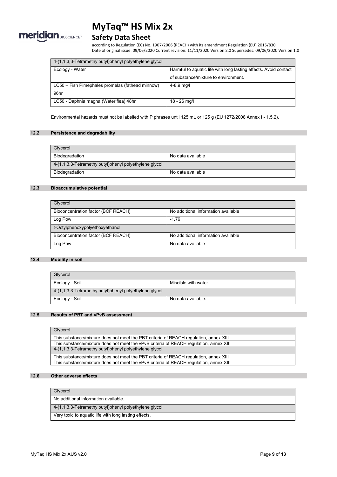

### **Safety Data Sheet**

according to Regulation (EC) No. 1907/2006 (REACH) with its amendment Regulation (EU) 2015/830 Date of original issue: 09/06/2020 Current revision: 11/11/2020 Version 2.0 Supersedes: 09/06/2020 Version 1.0

| 4-(1,1,3,3-Tetramethylbutyl)phenyl polyethylene glycol |                                                                  |
|--------------------------------------------------------|------------------------------------------------------------------|
| Ecology - Water                                        | Harmful to aquatic life with long lasting effects. Avoid contact |
|                                                        | of substance/mixture to environment.                             |
| LC50 – Fish Pimephales promelas (fathead minnow)       | 4-8.9 mg/l                                                       |
| 96hr                                                   |                                                                  |
| LC50 - Daphnia magna (Water flea) 48hr                 | $18 - 26$ mg/l                                                   |

Environmental hazards must not be labelled with P phrases until 125 mL or 125 g (EU 1272/2008 Annex I - 1.5.2).

#### **12.2 Persistence and degradability**

| Glycerol                                               |                   |
|--------------------------------------------------------|-------------------|
| Biodegradation                                         | No data available |
| 4-(1,1,3,3-Tetramethylbutyl)phenyl polyethylene glycol |                   |
| Biodegradation                                         | No data available |

#### **12.3 Bioaccumulative potential**

| Glycerol                            |                                     |  |
|-------------------------------------|-------------------------------------|--|
| Bioconcentration factor (BCF REACH) | No additional information available |  |
| Log Pow                             | $-1.76$                             |  |
| t-Octylphenoxypolyethoxyethanol     |                                     |  |
| Bioconcentration factor (BCF REACH) | No additional information available |  |
| Log Pow                             | No data available                   |  |

#### **12.4 Mobility in soil**

| Glycerol                                                   |                      |  |
|------------------------------------------------------------|----------------------|--|
| Ecology - Soil                                             | Miscible with water. |  |
| $4-(1,1,3,3)$ -Tetramethylbutyl)phenyl polyethylene glycol |                      |  |
| Ecology - Soil                                             | No data available.   |  |

#### **12.5 Results of PBT and vPvB assessment**

| Glycerol                                                                               |
|----------------------------------------------------------------------------------------|
| This substance/mixture does not meet the PBT criteria of REACH regulation, annex XIII  |
| This substance/mixture does not meet the vPvB criteria of REACH requiation, annex XIII |
| 4-(1,1,3,3-Tetramethylbutyl)phenyl polyethylene glycol                                 |
| This substance/mixture does not meet the PBT criteria of REACH regulation, annex XIII  |
| This substance/mixture does not meet the vPvB criteria of REACH regulation, annex XIII |

#### **12.6 Other adverse effects**

| Glycerol                                                   |
|------------------------------------------------------------|
|                                                            |
| No additional information available.                       |
| $4-(1,1,3,3)$ -Tetramethylbutyl)phenyl polyethylene glycol |
|                                                            |
| Very toxic to aquatic life with long lasting effects.      |
|                                                            |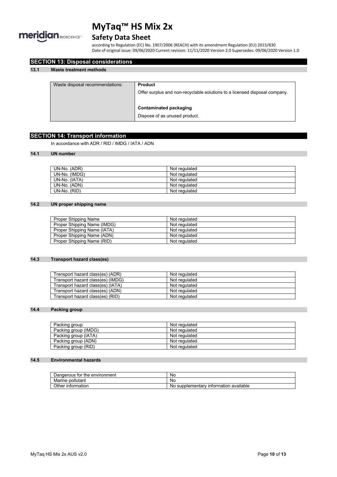

### **Safety Data Sheet**

according to Regulation (EC) No. 1907/2006 (REACH) with its amendment Regulation (EU) 2015/830 Date of original issue: 09/06/2020 Current revision: 11/11/2020 Version 2.0 Supersedes: 09/06/2020 Version 1.0

| Waste disposal recommendations: | <b>Product</b>                                                             |
|---------------------------------|----------------------------------------------------------------------------|
|                                 | Offer surplus and non-recyclable solutions to a licensed disposal company. |
|                                 | Contaminated packaging                                                     |
|                                 | Dispose of as unused product.                                              |

#### **SECTION 14: Transport information**

**SECTION 13: Disposal considerations**

In accordance with ADR / RID / IMDG / IATA / ADN

#### **14.1 UN number**

| UN-No. (ADR)  | Not regulated |
|---------------|---------------|
| UN-No. (IMDG) | Not regulated |
| UN-No. (IATA) | Not regulated |
| UN-No. (ADN)  | Not regulated |
| UN-No. (RID)  | Not regulated |

#### **14.2 UN proper shipping name**

| Proper Shipping Name        | Not regulated |
|-----------------------------|---------------|
| Proper Shipping Name (IMDG) | Not regulated |
| Proper Shipping Name (IATA) | Not regulated |
| Proper Shipping Name (ADN)  | Not regulated |
| Proper Shipping Name (RID)  | Not regulated |

#### **14.3 Transport hazard class(es)**

| Transport hazard class(es) (ADR)  | Not regulated |
|-----------------------------------|---------------|
| Transport hazard class(es) (IMDG) | Not regulated |
| Transport hazard class(es) (IATA) | Not regulated |
| Transport hazard class(es) (ADN)  | Not regulated |
| Transport hazard class(es) (RID)  | Not regulated |

#### **14.4 Packing group**

| Packing group        | Not regulated |
|----------------------|---------------|
| Packing group (IMDG) | Not regulated |
| Packing group (IATA) | Not regulated |
| Packing group (ADN)  | Not regulated |
| Packing group (RID)  | Not regulated |

#### **14.5 Environmental hazards**

| r the environment<br>Dangerous for | <b>No</b>                                         |
|------------------------------------|---------------------------------------------------|
| Marine<br>pollutant                | No                                                |
| Other<br>∶information              | available<br>supplementary<br>' information<br>No |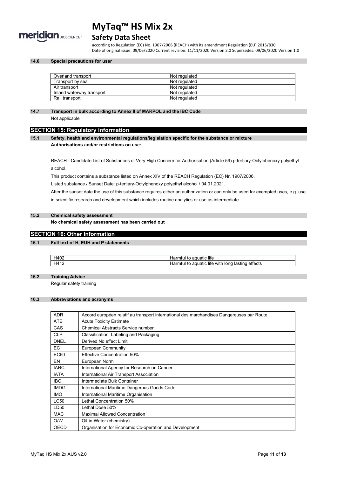

#### **Safety Data Sheet**

according to Regulation (EC) No. 1907/2006 (REACH) with its amendment Regulation (EU) 2015/830 Date of original issue: 09/06/2020 Current revision: 11/11/2020 Version 2.0 Supersedes: 09/06/2020 Version 1.0

#### **14.6 Special precautions for user**

| Overland transport        | Not regulated |
|---------------------------|---------------|
| Transport by sea          | Not regulated |
| Air transport             | Not regulated |
| Inland waterway transport | Not regulated |
| Rail transport            | Not regulated |

#### **14.7 Transport in bulk according to Annex II of MARPOL and the IBC Code**

Not applicable

#### **SECTION 15: Regulatory information**

**15.1 Safety, health and environmental regulations/legislation specific for the substance or mixture Authorisations and/or restrictions on use:**

REACH - Candidate List of Substances of Very High Concern for Authorisation (Article 59) p-tertiary-Octylphenoxy polyethyl alcohol.

This product contains a substance listed on Annex XIV of the REACH Regulation (EC) Nr. 1907/2006.

Listed substance / Sunset Date: p-tertiary-Octylphenoxy polyethyl alcohol / 04.01.2021.

After the sunset date the use of this substance requires either an authorization or can only be used for exempted uses, e.g. use in scientific research and development which includes routine analytics or use as intermediate.

#### **15.2 Chemical safety assessment**

**No chemical safety assessment has been carried out**

#### **SECTION 16: Other Information**

#### **16.1 Full text of H, EUH and P statements**

| $\sqrt{2}$<br>нд<br>╹╹┯╲┺ | $\cdots$<br>aquatic life<br>idi<br>ີ                                      |
|---------------------------|---------------------------------------------------------------------------|
| $HA^+$                    | --<br><br>effects<br>⊣ıfe<br>lasting<br>with<br>lonc<br>uuatic lim<br>agi |

#### **16.2 Training Advice**

Regular safety training

#### **16.3 Abbreviations and acronyms**

| <b>ADR</b>  | Accord européen relatif au transport international des marchandises Dangereuses par Route |
|-------------|-------------------------------------------------------------------------------------------|
| <b>ATE</b>  | <b>Acute Toxicity Estimate</b>                                                            |
| CAS         | <b>Chemical Abstracts Service number</b>                                                  |
| <b>CLP</b>  | Classification, Labeling and Packaging                                                    |
| <b>DNEL</b> | Derived No effect Limit                                                                   |
| EC.         | <b>European Community</b>                                                                 |
| <b>EC50</b> | <b>Effective Concentration 50%</b>                                                        |
| EN          | European Norm                                                                             |
| <b>IARC</b> | International Agency for Research on Cancer                                               |
| <b>IATA</b> | International Air Transport Association                                                   |
| <b>IBC</b>  | Intermediate Bulk Container                                                               |
| <b>IMDG</b> | International Maritime Dangerous Goods Code                                               |
| <b>IMO</b>  | International Maritime Organisation                                                       |
| <b>LC50</b> | Lethal Concentration 50%                                                                  |
| LD50        | Lethal Dose 50%                                                                           |
| <b>MAC</b>  | <b>Maximal Allowed Concentration</b>                                                      |
| O/W         | Oil-in-Water (chemistry)                                                                  |
| <b>OECD</b> | Organisation for Economic Co-operation and Development                                    |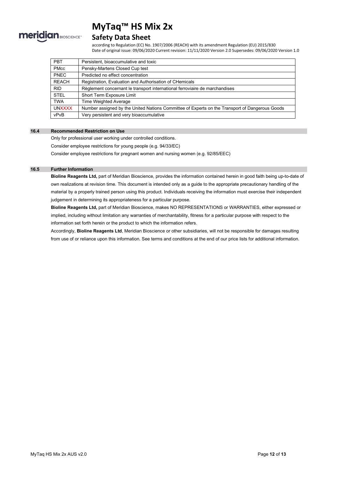

#### **Safety Data Sheet**

according to Regulation (EC) No. 1907/2006 (REACH) with its amendment Regulation (EU) 2015/830 Date of original issue: 09/06/2020 Current revision: 11/11/2020 Version 2.0 Supersedes: 09/06/2020 Version 1.0

| <b>PBT</b>    | Persistent, bioaccumulative and toxic                                                          |
|---------------|------------------------------------------------------------------------------------------------|
| <b>PMcc</b>   | Pensky-Martens Closed Cup test                                                                 |
| <b>PNEC</b>   | Predicted no effect concentration                                                              |
| <b>REACH</b>  | Registration, Evaluation and Authorisation of CHemicals                                        |
| <b>RID</b>    | Règlement concernant le transport international ferroviaire de marchandises                    |
| <b>STEL</b>   | Short Term Exposure Limit                                                                      |
| <b>TWA</b>    | Time Weighted Average                                                                          |
| <b>UNXXXX</b> | Number assigned by the United Nations Committee of Experts on the Transport of Dangerous Goods |
| vPvB          | Very persistent and very bioaccumulative                                                       |

#### **16.4 Recommended Restriction on Use**

Only for professional user working under controlled conditions. Consider employee restrictions for young people (e.g. 94/33/EC) Consider employee restrictions for pregnant women and nursing women (e.g. 92/85/EEC)

#### **16.5 Further Information**

**Bioline Reagents Ltd,** part of Meridian Bioscience, provides the information contained herein in good faith being up-to-date of own realizations at revision time. This document is intended only as a guide to the appropriate precautionary handling of the material by a properly trained person using this product. Individuals receiving the information must exercise their independent judgement in determining its appropriateness for a particular purpose.

**Bioline Reagents Ltd,** part of Meridian Bioscience, makes NO REPRESENTATIONS or WARRANTIES, either expressed or implied, including without limitation any warranties of merchantability, fitness for a particular purpose with respect to the information set forth herein or the product to which the information refers.

Accordingly, **Bioline Reagents Ltd**, Meridian Bioscience or other subsidiaries, will not be responsible for damages resulting from use of or reliance upon this information. See terms and conditions at the end of our price lists for additional information.